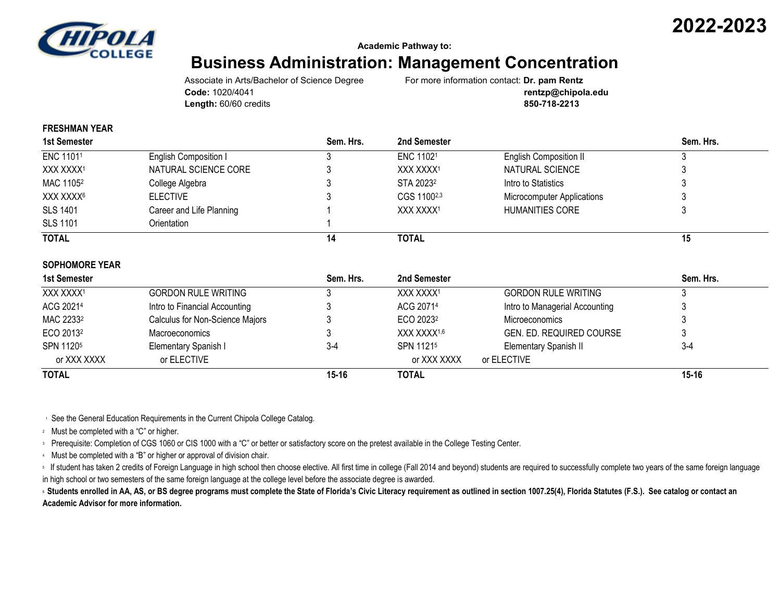

**2022-2023**

**Academic Pathway to:**

## **Business Administration: Management Concentration**

Associate in Arts/Bachelor of Science Degree For more information contact: **Dr. pam Rentz Length:** 60/60 credits **850-718-2213**

**Code:** 1020/4041 **rentzp@chipola.edu**

## **FRESHMAN YEAR**

| 1st Semester          |                          | Sem. Hrs. | 2nd Semester          |                               | Sem. Hrs. |
|-----------------------|--------------------------|-----------|-----------------------|-------------------------------|-----------|
| ENC 11011             | English Composition I    |           | ENC 11021             | <b>English Composition II</b> |           |
| XXX XXXX1             | NATURAL SCIENCE CORE     |           | XXX XXXX <sup>1</sup> | NATURAL SCIENCE               |           |
| MAC 1105 <sup>2</sup> | College Algebra          |           | STA 2023 <sup>2</sup> | Intro to Statistics           |           |
| XXX XXXX <sup>6</sup> | <b>ELECTIVE</b>          |           | CGS 11002,3           | Microcomputer Applications    |           |
| <b>SLS 1401</b>       | Career and Life Planning |           | XXX XXXX1             | HUMANITIES CORE               |           |
| <b>SLS 1101</b>       | Orientation              |           |                       |                               |           |
| <b>TOTAL</b>          |                          | 14        | <b>TOTAL</b>          |                               | 15        |

## **SOPHOMORE YEAR**

| 1st Semester          |                                 | Sem. Hrs. | 2nd Semester            |                                | Sem. Hrs. |
|-----------------------|---------------------------------|-----------|-------------------------|--------------------------------|-----------|
| XXX XXXX1             | <b>GORDON RULE WRITING</b>      |           | XXX XXXX1               | <b>GORDON RULE WRITING</b>     |           |
| ACG 20214             | Intro to Financial Accounting   |           | ACG 20714               | Intro to Managerial Accounting |           |
| MAC 2233 <sup>2</sup> | Calculus for Non-Science Majors |           | ECO 2023 <sup>2</sup>   | Microeconomics                 |           |
| ECO 2013 <sup>2</sup> | Macroeconomics                  |           | XXX XXXX <sup>1,6</sup> | GEN. ED. REQUIRED COURSE       |           |
| SPN 11205             | Elementary Spanish I            | $3 - 4$   | SPN 11215               | Elementary Spanish II          | $3 - 4$   |
| or XXX XXXX           | or ELECTIVE                     |           | or XXX XXXX             | or ELECTIVE                    |           |
| <b>TOTAL</b>          |                                 | $15 - 16$ | <b>TOTAL</b>            |                                | $15 - 16$ |

<sup>1</sup> See the General Education Requirements in the Current Chipola College Catalog.

<sup>2</sup> Must be completed with a "C" or higher.

<sup>3</sup> Prerequisite: Completion of CGS 1060 or CIS 1000 with a "C" or better or satisfactory score on the pretest available in the College Testing Center.

<sup>4</sup> Must be completed with a "B" or higher or approval of division chair.

If student has taken 2 credits of Foreign Language in high school then choose elective. All first time in college (Fall 2014 and beyond) students are required to successfully complete two years of the same foreign language in high school or two semesters of the same foreign language at the college level before the associate degree is awarded.

**6** Students enrolled in AA, AS, or BS degree programs must complete the State of Florida's Civic Literacy requirement as outlined in section 1007.25(4), Florida Statutes (F.S.). See catalog or contact an **Academic Advisor for more information.**